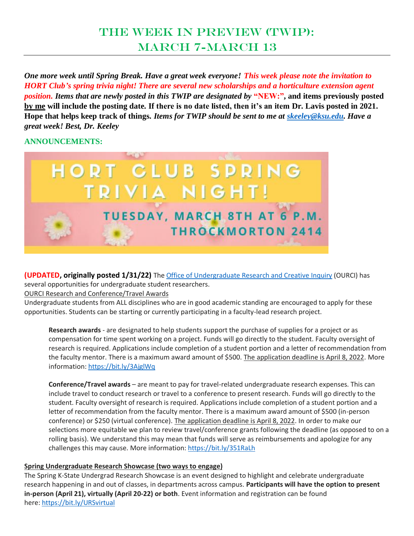# The Week in Preview (TWIP): March 7-March 13

*One more week until Spring Break. Have a great week everyone! This week please note the invitation to HORT Club's spring trivia night! There are several new scholarships and a horticulture extension agent position. Items that are newly posted in this TWIP are designated by "NEW:"*, and items previously posted **by me will include the posting date. If there is no date listed, then it's an item Dr. Lavis posted in 2021. Hope that helps keep track of things.** *Items for TWIP should be sent to me at [skeeley@ksu.edu.](mailto:skeeley@ksu.edu) Have a great week! Best, Dr. Keeley*

#### **ANNOUNCEMENTS:**



**(UPDATED, originally posted 1/31/22)** The Office of [Undergraduate](https://www.k-state.edu/undergradresearch/) Research and Creative Inquiry (OURCI) has several opportunities for undergraduate student researchers.

OURCI Research and Conference/Travel Awards

Undergraduate students from ALL disciplines who are in good academic standing are encouraged to apply for these opportunities. Students can be starting or currently participating in a faculty-lead research project.

**Research awards** - are designated to help students support the purchase of supplies for a project or as compensation for time spent working on a project. Funds will go directly to the student. Faculty oversight of research is required. Applications include completion of a student portion and a letter of recommendation from the faculty mentor. There is a maximum award amount of \$500. The application deadline is April 8, 2022. More information: <https://bit.ly/3AjglWq>

**Conference/Travel awards** – are meant to pay for travel-related undergraduate research expenses. This can include travel to conduct research or travel to a conference to present research. Funds will go directly to the student. Faculty oversight of research is required. Applications include completion of a student portion and a letter of recommendation from the faculty mentor. There is a maximum award amount of \$500 (in-person conference) or \$250 (virtual conference). The application deadline is April 8, 2022. In order to make our selections more equitable we plan to review travel/conference grants following the deadline (as opposed to on a rolling basis). We understand this may mean that funds will serve as reimbursements and apologize for any challenges this may cause. More information: <https://bit.ly/351RaLh>

#### **Spring Undergraduate Research Showcase (two ways to engage)**

The Spring K-State Undergrad Research Showcase is an event designed to highlight and celebrate undergraduate research happening in and out of classes, in departments across campus. **Participants will have the option to present in-person (April 21), virtually (April 20-22) or both**. Event information and registration can be found here: <https://bit.ly/URSvirtual>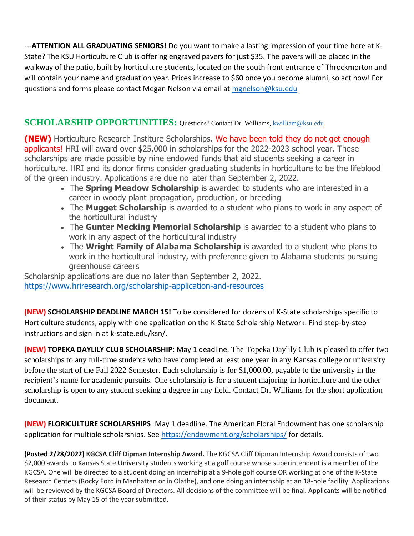---**ATTENTION ALL GRADUATING SENIORS!** Do you want to make a lasting impression of your time here at K-State? The KSU Horticulture Club is offering engraved pavers for just \$35. The pavers will be placed in the walkway of the patio, built by horticulture students, located on the south front entrance of Throckmorton and will contain your name and graduation year. Prices increase to \$60 once you become alumni, so act now! For questions and forms please contact Megan Nelson via email at [mgnelson@ksu.edu](mailto:mgnelson@ksu.edu)

# **SCHOLARSHIP OPPORTUNITIES:** Questions? Contact Dr. Williams[, kwilliam@ksu.edu](mailto:kwilliam@ksu.edu)

**(NEW)** Horticulture Research Institure Scholarships. We have been told they do not get enough applicants! HRI will award over \$25,000 in scholarships for the 2022-2023 school year. These scholarships are made possible by nine endowed funds that aid students seeking a career in horticulture. HRI and its donor firms consider graduating students in horticulture to be the lifeblood of the green industry. Applications are due no later than September 2, 2022.

- The **Spring Meadow Scholarship** is awarded to students who are interested in a career in woody plant propagation, production, or breeding
- The **Mugget Scholarship** is awarded to a student who plans to work in any aspect of the horticultural industry
- The **Gunter Mecking Memorial Scholarship** is awarded to a student who plans to work in any aspect of the horticultural industry
- The **Wright Family of Alabama Scholarship** is awarded to a student who plans to work in the horticultural industry, with preference given to Alabama students pursuing greenhouse careers

Scholarship applications are due no later than September 2, 2022. <https://www.hriresearch.org/scholarship-application-and-resources>

**(NEW) SCHOLARSHIP DEADLINE MARCH 15!** To be considered for dozens of K-State scholarships specific to Horticulture students, apply with one application on the K-State Scholarship Network. Find step-by-step instructions and sign in at k-state.edu/ksn/.

**(NEW) TOPEKA DAYLILY CLUB SCHOLARSHIP**: May 1 deadline. The Topeka Daylily Club is pleased to offer two scholarships to any full-time students who have completed at least one year in any Kansas college or university before the start of the Fall 2022 Semester. Each scholarship is for \$1,000.00, payable to the university in the recipient's name for academic pursuits. One scholarship is for a student majoring in horticulture and the other scholarship is open to any student seeking a degree in any field. Contact Dr. Williams for the short application document.

**(NEW) FLORICULTURE SCHOLARSHIPS**: May 1 deadline. The American Floral Endowment has one scholarship application for multiple scholarships. See <https://endowment.org/scholarships/> for details.

**(Posted 2/28/2022) KGCSA Cliff Dipman Internship Award.** The KGCSA Cliff Dipman Internship Award consists of two \$2,000 awards to Kansas State University students working at a golf course whose superintendent is a member of the KGCSA. One will be directed to a student doing an internship at a 9-hole golf course OR working at one of the K-State Research Centers (Rocky Ford in Manhattan or in Olathe), and one doing an internship at an 18-hole facility. Applications will be reviewed by the KGCSA Board of Directors. All decisions of the committee will be final. Applicants will be notified of their status by May 15 of the year submitted.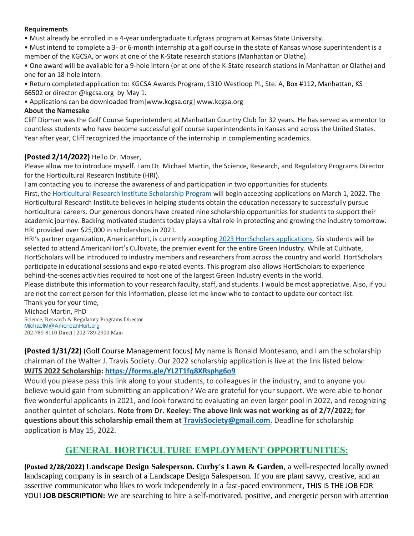#### **Requirements**

• Must already be enrolled in a 4-year undergraduate turfgrass program at Kansas State University.

• Must intend to complete a 3- or 6-month internship at a golf course in the state of Kansas whose superintendent is a member of the KGCSA, or work at one of the K-State research stations (Manhattan or Olathe).

• One award will be available for a 9-hole intern (or at one of the K-State research stations in Manhattan or Olathe) and one for an 18-hole intern.

• Return completed application to: KGCSA Awards Program, 1310 Westloop Pl., Ste. A, Box #112, Manhattan, KS 66502 or director @kgcsa.org by May 1.

• Applications can be downloaded from[www.kcgsa.org] www.kcgsa.org

#### **About the Namesake**

Cliff Dipman was the Golf Course Superintendent at Manhattan Country Club for 32 years. He has served as a mentor to countless students who have become successful golf course superintendents in Kansas and across the United States. Year after year, Cliff recognized the importance of the internship in complementing academics.

#### **(Posted 2/14/2022)** Hello Dr. Moser,

Please allow me to introduce myself. I am Dr. Michael Martin, the Science, Research, and Regulatory Programs Director for the Horticultural Research Institute (HRI).

I am contacting you to increase the awareness of and participation in two opportunities for students.

First, the [Horticultural](https://www.hriresearch.org/scholarship-application-and-resources) Research Institute Scholarship Program will begin accepting applications on March 1, 2022. The Horticultural Research Institute believes in helping students obtain the education necessary to successfully pursue horticultural careers. Our generous donors have created nine scholarship opportunities for students to support their academic journey. Backing motivated students today plays a vital role in protecting and growing the industry tomorrow. HRI provided over \$25,000 in scholarships in 2021.

HRI's partner organization, AmericanHort, is currently accepting 2023 [HortScholars](https://www.americanhort.org/programs/hortscholar/) applications. Six students will be selected to attend AmericanHort's Cultivate, the premier event for the entire Green Industry. While at Cultivate, HortScholars will be introduced to industry members and researchers from across the country and world. HortScholars participate in educational sessions and expo-related events. This program also allows HortScholars to experience behind-the-scenes activities required to host one of the largest Green Industry events in the world.

Please distribute this information to your research faculty, staff, and students. I would be most appreciative. Also, if you are not the correct person for this information, please let me know who to contact to update our contact list. Thank you for your time,

Michael Martin, PhD

Science, Research & Regulatory Programs Director [MichaelM@AmericanHort.org](mailto:MichaelM@AmericanHort.org) 202-789-8110 Direct | 202-789-2900 Main

**(Posted 1/31/22)** (Golf Course Management focus) My name is Ronald Montesano, and I am the scholarship chairman of the Walter J. Travis Society. Our 2022 scholarship application is live at the link listed below: **WJTS 2022 Scholarship: <https://forms.gle/YL2T1fq8XRsphg6o9>**

Would you please pass this link along to your students, to colleagues in the industry, and to anyone you believe would gain from submitting an application? We are grateful for your support. We were able to honor five wonderful applicants in 2021, and look forward to evaluating an even larger pool in 2022, and recognizing another quintet of scholars. **Note from Dr. Keeley: The above link was not working as of 2/7/2022; for questions about this scholarship email them at [TravisSociety@gmail.com](mailto:TravisSociety@gmail.com)**. Deadline for scholarship application is May 15, 2022.

# **GENERAL HORTICULTURE EMPLOYMENT OPPORTUNITIES:**

**(Posted 2/28/2022) Landscape Design Salesperson. Curby's Lawn & Garden**, a well-respected locally owned landscaping company is in search of a Landscape Design Salesperson. If you are plant savvy, creative, and an assertive communicator who likes to work independently in a fast-paced environment, THIS IS THE JOB FOR YOU! **JOB DESCRIPTION:** We are searching to hire a self-motivated, positive, and energetic person with attention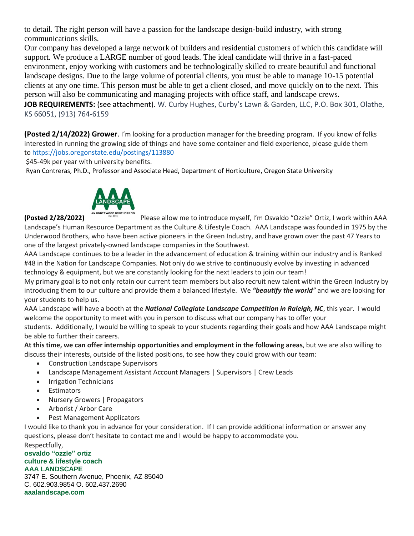to detail. The right person will have a passion for the landscape design-build industry, with strong communications skills.

Our company has developed a large network of builders and residential customers of which this candidate will support. We produce a LARGE number of good leads. The ideal candidate will thrive in a fast-paced environment, enjoy working with customers and be technologically skilled to create beautiful and functional landscape designs. Due to the large volume of potential clients, you must be able to manage 10-15 potential clients at any one time. This person must be able to get a client closed, and move quickly on to the next. This person will also be communicating and managing projects with office staff, and landscape crews.

**JOB REQUIREMENTS:** (see attachment). W. Curby Hughes, Curby's Lawn & Garden, LLC, P.O. Box 301, Olathe, KS 66051, (913) 764-6159

**(Posted 2/14/2022) Grower**. I'm looking for a production manager for the breeding program. If you know of folks interested in running the growing side of things and have some container and field experience, please guide them to <https://jobs.oregonstate.edu/postings/113880>

\$45-49k per year with university benefits.

Ryan Contreras, Ph.D., Professor and Associate Head, Department of Horticulture, Oregon State University



**(Posted 2/28/2022)** Please allow me to introduce myself, I'm Osvaldo "Ozzie" Ortiz, I work within AAA Landscape's Human Resource Department as the Culture & Lifestyle Coach. AAA Landscape was founded in 1975 by the Underwood Brothers, who have been active pioneers in the Green Industry, and have grown over the past 47 Years to one of the largest privately-owned landscape companies in the Southwest.

AAA Landscape continues to be a leader in the advancement of education & training within our industry and is Ranked #48 in the Nation for Landscape Companies. Not only do we strive to continuously evolve by investing in advanced technology & equipment, but we are constantly looking for the next leaders to join our team!

My primary goal is to not only retain our current team members but also recruit new talent within the Green Industry by introducing them to our culture and provide them a balanced lifestyle. We *"beautify the world"* and we are looking for your students to help us.

AAA Landscape will have a booth at the *National Collegiate Landscape Competition in Raleigh, NC*, this year. I would welcome the opportunity to meet with you in person to discuss what our company has to offer your students. Additionally, I would be willing to speak to your students regarding their goals and how AAA Landscape might be able to further their careers.

**At this time, we can offer internship opportunities and employment in the following areas**, but we are also willing to discuss their interests, outside of the listed positions, to see how they could grow with our team:

- Construction Landscape Supervisors
- Landscape Management Assistant Account Managers | Supervisors | Crew Leads
- Irrigation Technicians
- Estimators
- Nursery Growers | Propagators
- Arborist / Arbor Care
- Pest Management Applicators

I would like to thank you in advance for your consideration. If I can provide additional information or answer any questions, please don't hesitate to contact me and I would be happy to accommodate you. Respectfully,

#### **osvaldo "ozzie" ortiz culture & lifestyle coach AAA LANDSCAPE**

3747 E. Southern Avenue, Phoenix, AZ 85040 C. 602.903.9854 O. 602.437.2690 **aaalandscape.com**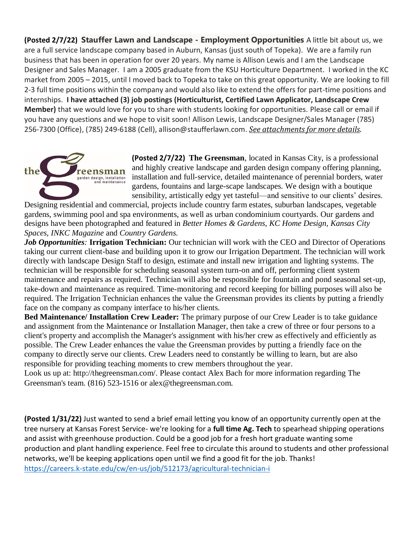**(Posted 2/7/22) Stauffer Lawn and Landscape - Employment Opportunities** A little bit about us, we are a full service landscape company based in Auburn, Kansas (just south of Topeka). We are a family run business that has been in operation for over 20 years. My name is Allison Lewis and I am the Landscape Designer and Sales Manager. I am a 2005 graduate from the KSU Horticulture Department. I worked in the KC market from 2005 – 2015, until I moved back to Topeka to take on this great opportunity. We are looking to fill 2-3 full time positions within the company and would also like to extend the offers for part-time positions and internships. **I have attached (3) job postings (Horticulturist, Certified Lawn Applicator, Landscape Crew Member)** that we would love for you to share with students looking for opportunities. Please call or email if you have any questions and we hope to visit soon! Allison Lewis, Landscape Designer/Sales Manager (785) 256-7300 (Office), (785) 249-6188 (Cell), allison@staufferlawn.com. *See attachments for more details*.



**(Posted 2/7/22) The Greensman**, located in Kansas City, is a professional and highly creative landscape and garden design company offering planning, installation and full-service, detailed maintenance of perennial borders, water gardens, fountains and large-scape landscapes. We design with a boutique sensibility, artistically edgy yet tasteful—and sensitive to our clients' desires.

Designing residential and commercial, projects include country farm estates, suburban landscapes, vegetable gardens, swimming pool and spa environments, as well as urban condominium courtyards. Our gardens and designs have been photographed and featured in *Better Homes & Gardens, KC Home Design, Kansas City Spaces, INKC Magazine* and *Country Gardens.*

*Job Opportunities:* **Irrigation Technician:** Our technician will work with the CEO and Director of Operations taking our current client-base and building upon it to grow our Irrigation Department. The technician will work directly with landscape Design Staff to design, estimate and install new irrigation and lighting systems. The technician will be responsible for scheduling seasonal system turn-on and off, performing client system maintenance and repairs as required. Technician will also be responsible for fountain and pond seasonal set-up, take-down and maintenance as required. Time-monitoring and record keeping for billing purposes will also be required. The Irrigation Technician enhances the value the Greensman provides its clients by putting a friendly face on the company as company interface to his/her clients.

**Bed Maintenance/ Installation Crew Leader:** The primary purpose of our Crew Leader is to take guidance and assignment from the Maintenance or Installation Manager, then take a crew of three or four persons to a client's property and accomplish the Manager's assignment with his/her crew as effectively and efficiently as possible. The Crew Leader enhances the value the Greensman provides by putting a friendly face on the company to directly serve our clients. Crew Leaders need to constantly be willing to learn, but are also responsible for providing teaching moments to crew members throughout the year.

Look us up at: http://thegreensman.com/. Please contact Alex Bach for more information regarding The Greensman's team. (816) 523-1516 or alex@thegreensman.com.

**(Posted 1/31/22)** Just wanted to send a brief email letting you know of an opportunity currently open at the tree nursery at Kansas Forest Service- we're looking for a **full time Ag. Tech** to spearhead shipping operations and assist with greenhouse production. Could be a good job for a fresh hort graduate wanting some production and plant handling experience. Feel free to circulate this around to students and other professional networks, we'll be keeping applications open until we find a good fit for the job. Thanks! <https://careers.k-state.edu/cw/en-us/job/512173/agricultural-technician-i>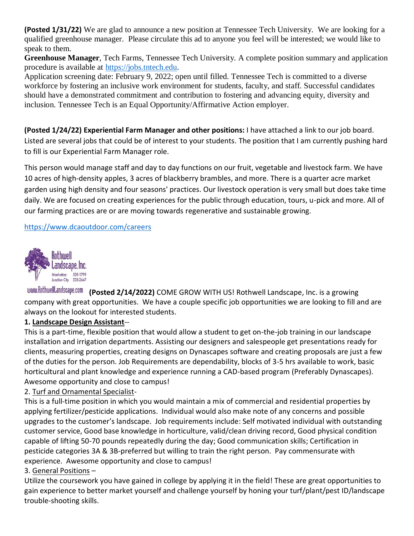**(Posted 1/31/22)** We are glad to announce a new position at Tennessee Tech University. We are looking for a qualified greenhouse manager. Please circulate this ad to anyone you feel will be interested; we would like to speak to them.

**Greenhouse Manager**, Tech Farms, Tennessee Tech University. A complete position summary and application procedure is available at [https://jobs.tntech.edu.](https://jobs.tntech.edu/)

Application screening date: February 9, 2022; open until filled. Tennessee Tech is committed to a diverse workforce by fostering an inclusive work environment for students, faculty, and staff. Successful candidates should have a demonstrated commitment and contribution to fostering and advancing equity, diversity and inclusion. Tennessee Tech is an Equal Opportunity/Affirmative Action employer.

**(Posted 1/24/22) Experiential Farm Manager and other positions:** I have attached a link to our job board. Listed are several jobs that could be of interest to your students. The position that I am currently pushing hard to fill is our Experiential Farm Manager role.

This person would manage staff and day to day functions on our fruit, vegetable and livestock farm. We have 10 acres of high-density apples, 3 acres of blackberry brambles, and more. There is a quarter acre market garden using high density and four seasons' practices. Our livestock operation is very small but does take time daily. We are focused on creating experiences for the public through education, tours, u-pick and more. All of our farming practices are or are moving towards regenerative and sustainable growing.

#### <https://www.dcaoutdoor.com/careers>



**(Posted 2/14/2022)** COME GROW WITH US! Rothwell Landscape, Inc. is a growing company with great opportunities. We have a couple specific job opportunities we are looking to fill and are always on the lookout for interested students.

#### **1. Landscape Design Assistant**--

This is a part-time, flexible position that would allow a student to get on-the-job training in our landscape installation and irrigation departments. Assisting our designers and salespeople get presentations ready for clients, measuring properties, creating designs on Dynascapes software and creating proposals are just a few of the duties for the person. Job Requirements are dependability, blocks of 3-5 hrs available to work, basic horticultural and plant knowledge and experience running a CAD-based program (Preferably Dynascapes). Awesome opportunity and close to campus!

#### 2. Turf and Ornamental Specialist-

This is a full-time position in which you would maintain a mix of commercial and residential properties by applying fertilizer/pesticide applications. Individual would also make note of any concerns and possible upgrades to the customer's landscape. Job requirements include: Self motivated individual with outstanding customer service, Good base knowledge in horticulture, valid/clean driving record, Good physical condition capable of lifting 50-70 pounds repeatedly during the day; Good communication skills; Certification in pesticide categories 3A & 3B-preferred but willing to train the right person. Pay commensurate with experience. Awesome opportunity and close to campus!

#### 3. General Positions –

Utilize the coursework you have gained in college by applying it in the field! These are great opportunities to gain experience to better market yourself and challenge yourself by honing your turf/plant/pest ID/landscape trouble-shooting skills.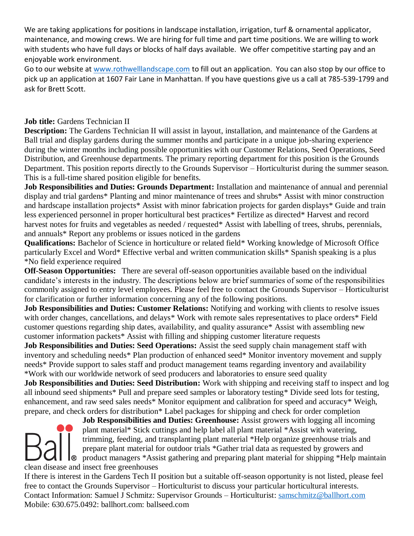We are taking applications for positions in landscape installation, irrigation, turf & ornamental applicator, maintenance, and mowing crews. We are hiring for full time and part time positions. We are willing to work with students who have full days or blocks of half days available. We offer competitive starting pay and an enjoyable work environment.

Go to our website at [www.rothwelllandscape.com](http://www.rothwelllandscape.com/) to fill out an application. You can also stop by our office to pick up an application at 1607 Fair Lane in Manhattan. If you have questions give us a call at 785-539-1799 and ask for Brett Scott.

#### **Job title:** Gardens Technician II

**Description:** The Gardens Technician II will assist in layout, installation, and maintenance of the Gardens at Ball trial and display gardens during the summer months and participate in a unique job-sharing experience during the winter months including possible opportunities with our Customer Relations, Seed Operations, Seed Distribution, and Greenhouse departments. The primary reporting department for this position is the Grounds Department. This position reports directly to the Grounds Supervisor – Horticulturist during the summer season. This is a full-time shared position eligible for benefits.

**Job Responsibilities and Duties: Grounds Department:** Installation and maintenance of annual and perennial display and trial gardens\* Planting and minor maintenance of trees and shrubs\* Assist with minor construction and hardscape installation projects\* Assist with minor fabrication projects for garden displays\* Guide and train less experienced personnel in proper horticultural best practices\* Fertilize as directed\* Harvest and record harvest notes for fruits and vegetables as needed / requested\* Assist with labelling of trees, shrubs, perennials, and annuals\* Report any problems or issues noticed in the gardens

**Qualifications:** Bachelor of Science in horticulture or related field\* Working knowledge of Microsoft Office particularly Excel and Word\* Effective verbal and written communication skills\* Spanish speaking is a plus \*No field experience required

**Off-Season Opportunities:** There are several off-season opportunities available based on the individual candidate's interests in the industry. The descriptions below are brief summaries of some of the responsibilities commonly assigned to entry level employees. Please feel free to contact the Grounds Supervisor – Horticulturist for clarification or further information concerning any of the following positions.

**Job Responsibilities and Duties: Customer Relations:** Notifying and working with clients to resolve issues with order changes, cancellations, and delays\* Work with remote sales representatives to place orders\* Field customer questions regarding ship dates, availability, and quality assurance\* Assist with assembling new customer information packets\* Assist with filling and shipping customer literature requests

**Job Responsibilities and Duties: Seed Operations:** Assist the seed supply chain management staff with inventory and scheduling needs\* Plan production of enhanced seed\* Monitor inventory movement and supply needs\* Provide support to sales staff and product management teams regarding inventory and availability \*Work with our worldwide network of seed producers and laboratories to ensure seed quality

**Job Responsibilities and Duties: Seed Distribution:** Work with shipping and receiving staff to inspect and log all inbound seed shipments\* Pull and prepare seed samples or laboratory testing\* Divide seed lots for testing, enhancement, and raw seed sales needs\* Monitor equipment and calibration for speed and accuracy\* Weigh, prepare, and check orders for distribution\* Label packages for shipping and check for order completion

**Job Responsibilities and Duties: Greenhouse:** Assist growers with logging all incoming plant material\* Stick cuttings and help label all plant material \*Assist with watering, trimming, feeding, and transplanting plant material \*Help organize greenhouse trials and prepare plant material for outdoor trials \*Gather trial data as requested by growers and **I**<sup>®</sup> product managers \*Assist gathering and preparing plant material for shipping \*Help maintain clean disease and insect free greenhouses

If there is interest in the Gardens Tech II position but a suitable off-season opportunity is not listed, please feel free to contact the Grounds Supervisor – Horticulturist to discuss your particular horticultural interests. Contact Information: Samuel J Schmitz: Supervisor Grounds – Horticulturist: [samschmitz@ballhort.com](mailto:samschmitz@ballhort.com) Mobile: 630.675.0492: ballhort.com: ballseed.com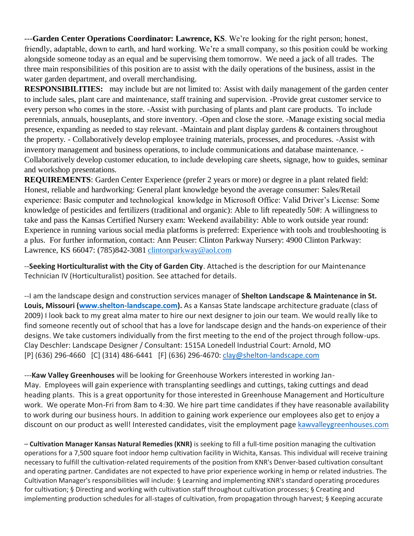---**Garden Center Operations Coordinator: Lawrence, KS**. We're looking for the right person; honest, friendly, adaptable, down to earth, and hard working. We're a small company, so this position could be working alongside someone today as an equal and be supervising them tomorrow. We need a jack of all trades. The three main responsibilities of this position are to assist with the daily operations of the business, assist in the water garden department, and overall merchandising.

**RESPONSIBILITIES:** may include but are not limited to: Assist with daily management of the garden center to include sales, plant care and maintenance, staff training and supervision. -Provide great customer service to every person who comes in the store. -Assist with purchasing of plants and plant care products. To include perennials, annuals, houseplants, and store inventory. -Open and close the store. -Manage existing social media presence, expanding as needed to stay relevant. -Maintain and plant display gardens & containers throughout the property. - Collaboratively develop employee training materials, processes, and procedures. -Assist with inventory management and business operations, to include communications and database maintenance. - Collaboratively develop customer education, to include developing care sheets, signage, how to guides, seminar and workshop presentations.

**REQUIREMENTS**: Garden Center Experience (prefer 2 years or more) or degree in a plant related field: Honest, reliable and hardworking: General plant knowledge beyond the average consumer: Sales/Retail experience: Basic computer and technological knowledge in Microsoft Office: Valid Driver's License: Some knowledge of pesticides and fertilizers (traditional and organic): Able to lift repeatedly 50#: A willingness to take and pass the Kansas Certified Nursery exam: Weekend availability: Able to work outside year round: Experience in running various social media platforms is preferred: Experience with tools and troubleshooting is a plus. For further information, contact: Ann Peuser: Clinton Parkway Nursery: 4900 Clinton Parkway: Lawrence, KS 66047: (785)842-3081 [clintonparkway@aol.com](mailto:clintonparkway@aol.com)

--**Seeking Horticulturalist with the City of Garden City**. Attached is the description for our Maintenance Technician IV (Horticulturalist) position. See attached for details.

--I am the landscape design and construction services manager of **Shelton Landscape & Maintenance in St. Louis, Missouri [\(www.shelton-landscape.com\)](http://www.shelton-landscape.com/).** As a Kansas State landscape architecture graduate (class of 2009) I look back to my great alma mater to hire our next designer to join our team. We would really like to find someone recently out of school that has a love for landscape design and the hands-on experience of their designs. We take customers individually from the first meeting to the end of the project through follow-ups. Clay Deschler: Landscape Designer / Consultant: 1515A Lonedell Industrial Court: Arnold, MO [P] (636) 296-4660 [C] (314) 486-6441 [F] (636) 296-4670: [clay@shelton-landscape.com](mailto:clay@shelton-landscape.com)

---**Kaw Valley Greenhouses** will be looking for Greenhouse Workers interested in working Jan-May. Employees will gain experience with transplanting seedlings and cuttings, taking cuttings and dead heading plants. This is a great opportunity for those interested in Greenhouse Management and Horticulture work. We operate Mon-Fri from 8am to 4:30. We hire part time candidates if they have reasonable availability to work during our business hours. In addition to gaining work experience our employees also get to enjoy a discount on our product as well! Interested candidates, visit the employment page [kawvalleygreenhouses.com](http://kawvalleygreenhouses.com/)

– **Cultivation Manager Kansas Natural Remedies (KNR)** is seeking to fill a full-time position managing the cultivation operations for a 7,500 square foot indoor hemp cultivation facility in Wichita, Kansas. This individual will receive training necessary to fulfill the cultivation-related requirements of the position from KNR's Denver-based cultivation consultant and operating partner. Candidates are not expected to have prior experience working in hemp or related industries. The Cultivation Manager's responsibilities will include: § Learning and implementing KNR's standard operating procedures for cultivation; § Directing and working with cultivation staff throughout cultivation processes; § Creating and implementing production schedules for all-stages of cultivation, from propagation through harvest; § Keeping accurate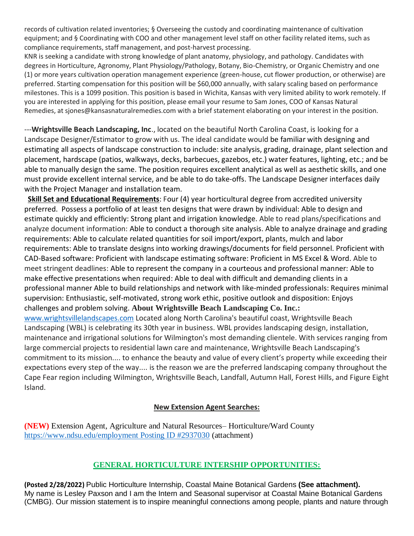records of cultivation related inventories; § Overseeing the custody and coordinating maintenance of cultivation equipment; and § Coordinating with COO and other management level staff on other facility related items, such as compliance requirements, staff management, and post-harvest processing.

KNR is seeking a candidate with strong knowledge of plant anatomy, physiology, and pathology. Candidates with degrees in Horticulture, Agronomy, Plant Physiology/Pathology, Botany, Bio-Chemistry, or Organic Chemistry and one (1) or more years cultivation operation management experience (green-house, cut flower production, or otherwise) are preferred. Starting compensation for this position will be \$60,000 annually, with salary scaling based on performance milestones. This is a 1099 position. This position is based in Wichita, Kansas with very limited ability to work remotely. If you are interested in applying for this position, please email your resume to Sam Jones, COO of Kansas Natural Remedies, at sjones@kansasnaturalremedies.com with a brief statement elaborating on your interest in the position.

---**Wrightsville Beach Landscaping, Inc**., located on the beautiful North Carolina Coast, is looking for a Landscape Designer/Estimator to grow with us. The ideal candidate would be familiar with designing and estimating all aspects of landscape construction to include: site analysis, grading, drainage, plant selection and placement, hardscape (patios, walkways, decks, barbecues, gazebos, etc.) water features, lighting, etc.; and be able to manually design the same. The position requires excellent analytical as well as aesthetic skills, and one must provide excellent internal service, and be able to do take-offs. The Landscape Designer interfaces daily with the Project Manager and installation team.

**Skill Set and Educational Requirements**: Four (4) year horticultural degree from accredited university preferred. Possess a portfolio of at least ten designs that were drawn by individual: Able to design and estimate quickly and efficiently: Strong plant and irrigation knowledge. Able to read plans/specifications and analyze document information: Able to conduct a thorough site analysis. Able to analyze drainage and grading requirements: Able to calculate related quantities for soil import/export, plants, mulch and labor requirements: Able to translate designs into working drawings/documents for field personnel. Proficient with CAD-Based software: Proficient with landscape estimating software: Proficient in MS Excel & Word. Able to meet stringent deadlines: Able to represent the company in a courteous and professional manner: Able to make effective presentations when required: Able to deal with difficult and demanding clients in a professional manner Able to build relationships and network with like-minded professionals: Requires minimal supervision: Enthusiastic, self-motivated, strong work ethic, positive outlook and disposition: Enjoys challenges and problem solving. **About Wrightsville Beach Landscaping Co. Inc.:**

[www.wrightsvillelandscapes.com](http://www.wrightsvillelandscapes.com/) Located along North Carolina's beautiful coast, Wrightsville Beach Landscaping (WBL) is celebrating its 30th year in business. WBL provides landscaping design, installation, maintenance and irrigational solutions for Wilmington's most demanding clientele. With services ranging from large commercial projects to residential lawn care and maintenance, Wrightsville Beach Landscaping's commitment to its mission.... to enhance the beauty and value of every client's property while exceeding their expectations every step of the way.... is the reason we are the preferred landscaping company throughout the Cape Fear region including Wilmington, Wrightsville Beach, Landfall, Autumn Hall, Forest Hills, and Figure Eight Island.

#### **New Extension Agent Searches:**

**(NEW)** Extension Agent, Agriculture and Natural Resources– Horticulture/Ward County [https://www.ndsu.edu/employment Posting ID #2937030](https://www.ndsu.edu/employment%20Posting%20ID#2937030) (attachment)

# **GENERAL HORTICULTURE INTERSHIP OPPORTUNITIES:**

**(Posted 2/28/2022)** Public Horticulture Internship, Coastal Maine Botanical Gardens **(See attachment).** My name is Lesley Paxson and I am the Intern and Seasonal supervisor at Coastal Maine Botanical Gardens (CMBG). Our mission statement is to inspire meaningful connections among people, plants and nature through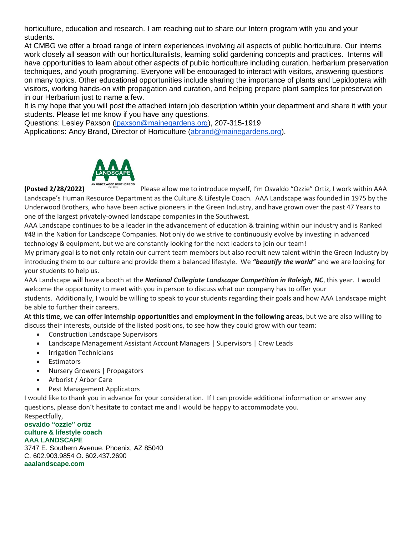horticulture, education and research. I am reaching out to share our Intern program with you and your students.

At CMBG we offer a broad range of intern experiences involving all aspects of public horticulture. Our interns work closely all season with our horticulturalists, learning solid gardening concepts and practices. Interns will have opportunities to learn about other aspects of public horticulture including curation, herbarium preservation techniques, and youth programing. Everyone will be encouraged to interact with visitors, answering questions on many topics. Other educational opportunities include sharing the importance of plants and Lepidoptera with visitors, working hands-on with propagation and curation, and helping prepare plant samples for preservation in our Herbarium just to name a few.

It is my hope that you will post the attached intern job description within your department and share it with your students. Please let me know if you have any questions.

Questions: Lesley Paxson [\(lpaxson@mainegardens.org\)](mailto:lpaxson@mainegardens.org), 207-315-1919

Applications: Andy Brand, Director of Horticulture [\(abrand@mainegardens.org\)](mailto:abrand@mainegardens.org).



**(Posted 2/28/2022)** Please allow me to introduce myself, I'm Osvaldo "Ozzie" Ortiz, I work within AAA Landscape's Human Resource Department as the Culture & Lifestyle Coach. AAA Landscape was founded in 1975 by the Underwood Brothers, who have been active pioneers in the Green Industry, and have grown over the past 47 Years to one of the largest privately-owned landscape companies in the Southwest.

AAA Landscape continues to be a leader in the advancement of education & training within our industry and is Ranked #48 in the Nation for Landscape Companies. Not only do we strive to continuously evolve by investing in advanced technology & equipment, but we are constantly looking for the next leaders to join our team!

My primary goal is to not only retain our current team members but also recruit new talent within the Green Industry by introducing them to our culture and provide them a balanced lifestyle. We *"beautify the world"* and we are looking for your students to help us.

AAA Landscape will have a booth at the *National Collegiate Landscape Competition in Raleigh, NC*, this year. I would welcome the opportunity to meet with you in person to discuss what our company has to offer your

students. Additionally, I would be willing to speak to your students regarding their goals and how AAA Landscape might be able to further their careers.

**At this time, we can offer internship opportunities and employment in the following areas**, but we are also willing to discuss their interests, outside of the listed positions, to see how they could grow with our team:

- Construction Landscape Supervisors
- Landscape Management Assistant Account Managers | Supervisors | Crew Leads
- Irrigation Technicians
- Estimators
- Nursery Growers | Propagators
- Arborist / Arbor Care
- Pest Management Applicators

I would like to thank you in advance for your consideration. If I can provide additional information or answer any questions, please don't hesitate to contact me and I would be happy to accommodate you.

Respectfully, **osvaldo "ozzie" ortiz culture & lifestyle coach AAA LANDSCAPE** 3747 E. Southern Avenue, Phoenix, AZ 85040 C. 602.903.9854 O. 602.437.2690

**aaalandscape.com**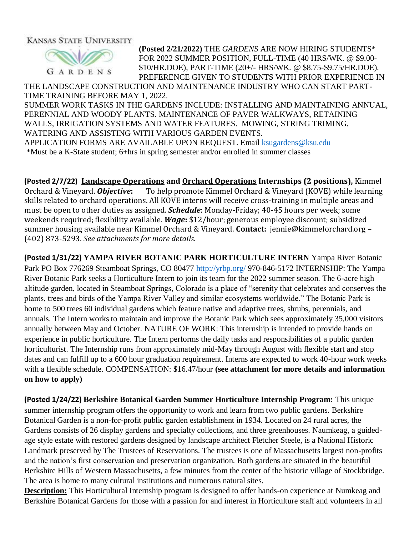KANSAS STATE UNIVERSITY



**(Posted 2/21/2022)** THE *GARDENS* ARE NOW HIRING STUDENTS\* FOR 2022 SUMMER POSITION, FULL-TIME (40 HRS/WK. @ \$9.00- \$10/HR.DOE), PART-TIME (20+/- HRS/WK. @ \$8.75-\$9.75/HR.DOE). PREFERENCE GIVEN TO STUDENTS WITH PRIOR EXPERIENCE IN

THE LANDSCAPE CONSTRUCTION AND MAINTENANCE INDUSTRY WHO CAN START PART-TIME TRAINING BEFORE MAY 1, 2022.

SUMMER WORK TASKS IN THE GARDENS INCLUDE: INSTALLING AND MAINTAINING ANNUAL, PERENNIAL AND WOODY PLANTS. MAINTENANCE OF PAVER WALKWAYS, RETAINING WALLS, IRRIGATION SYSTEMS AND WATER FEATURES. MOWING, STRING TRIMING, WATERING AND ASSISTING WITH VARIOUS GARDEN EVENTS. APPLICATION FORMS ARE AVAILABLE UPON REQUEST. Email [ksugardens@ksu.edu](mailto:ksugardens@ksu.edu)

\*Must be a K-State student; 6+hrs in spring semester and/or enrolled in summer classes

**(Posted 2/7/22) Landscape Operations and Orchard Operations Internships (2 positions),** Kimmel Orchard & Vineyard. *Objective***:** To help promote Kimmel Orchard & Vineyard (KOVE) while learning skills related to orchard operations. All KOVE interns will receive cross-training in multiple areas and must be open to other duties as assigned. *Schedule*: Monday-Friday; 40-45 hours per week; some weekends required; flexibility available. *Wage***:** \$12/hour; generous employee discount; subsidized summer housing available near Kimmel Orchard & Vineyard. **Contact:** jennie@kimmelorchard.org – (402) 873-5293. *See attachments for more details*.

**(Posted 1/31/22) YAMPA RIVER BOTANIC PARK HORTICULTURE INTERN** Yampa River Botanic Park PO Box 776269 Steamboat Springs, CO 80477<http://yrbp.org/> 970-846-5172 INTERNSHIP: The Yampa River Botanic Park seeks a Horticulture Intern to join its team for the 2022 summer season. The 6-acre high altitude garden, located in Steamboat Springs, Colorado is a place of "serenity that celebrates and conserves the plants, trees and birds of the Yampa River Valley and similar ecosystems worldwide." The Botanic Park is home to 500 trees 60 individual gardens which feature native and adaptive trees, shrubs, perennials, and annuals. The Intern works to maintain and improve the Botanic Park which sees approximately 35,000 visitors annually between May and October. NATURE OF WORK: This internship is intended to provide hands on experience in public horticulture. The Intern performs the daily tasks and responsibilities of a public garden horticulturist. The Internship runs from approximately mid-May through August with flexible start and stop dates and can fulfill up to a 600 hour graduation requirement. Interns are expected to work 40-hour work weeks with a flexible schedule. COMPENSATION: \$16.47/hour **(see attachment for more details and information on how to apply)**

**(Posted 1/24/22) Berkshire Botanical Garden Summer Horticulture Internship Program:** This unique summer internship program offers the opportunity to work and learn from two public gardens. Berkshire Botanical Garden is a non-for-profit public garden establishment in 1934. Located on 24 rural acres, the Gardens consists of 26 display gardens and specialty collections, and three greenhouses. Naumkeag, a guidedage style estate with restored gardens designed by landscape architect Fletcher Steele, is a National Historic Landmark preserved by The Trustees of Reservations. The trustees is one of Massachusetts largest non-profits and the nation's first conservation and preservation organization. Both gardens are situated in the beautiful Berkshire Hills of Western Massachusetts, a few minutes from the center of the historic village of Stockbridge. The area is home to many cultural institutions and numerous natural sites.

**Description:** This Horticultural Internship program is designed to offer hands-on experience at Numkeag and Berkshire Botanical Gardens for those with a passion for and interest in Horticulture staff and volunteers in all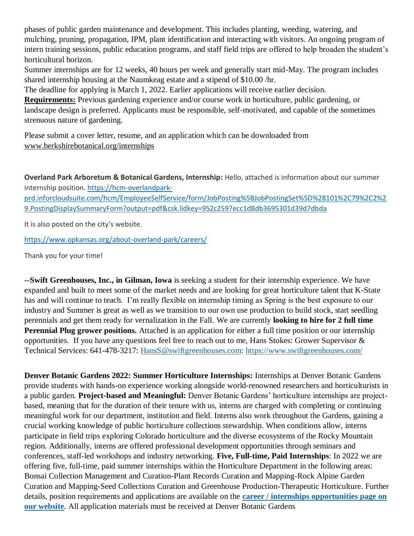phases of public garden maintenance and development. This includes planting, weeding, watering, and mulching, pruning, propagation, IPM, plant identification and interacting with visitors. An ongoing program of intern training sessions, public education programs, and staff field trips are offered to help broaden the student's horticultural horizon.

Summer internships are for 12 weeks, 40 hours per week and generally start mid-May. The program includes shared internship housing at the Naumkeag estate and a stipend of \$10.00 /hr.

The deadline for applying is March 1, 2022. Earlier applications will receive earlier decision.

**Requirements:** Previous gardening experience and/or course work in horticulture, public gardening, or landscape design is preferred. Applicants must be responsible, self-motivated, and capable of the sometimes strenuous nature of gardening.

Please submit a cover letter, resume, and an application which can be downloaded from [www.berkshirebotanical.org/internships](http://www.berkshirebotanical.org/internships)

**Overland Park Arboretum & Botanical Gardens, Internship:** Hello, attached is information about our summer internship position. [https://hcm-overlandpark-](https://hcm-overlandpark-prd.inforcloudsuite.com/hcm/EmployeeSelfService/form/JobPosting%5BJobPostingSet%5D%28101%2C79%2C2%29.PostingDisplaySummaryForm?output=pdf&csk.lidkey=952c2597ecc1d8db3695301d39d7dbda)

[prd.inforcloudsuite.com/hcm/EmployeeSelfService/form/JobPosting%5BJobPostingSet%5D%28101%2C79%2C2%2](https://hcm-overlandpark-prd.inforcloudsuite.com/hcm/EmployeeSelfService/form/JobPosting%5BJobPostingSet%5D%28101%2C79%2C2%29.PostingDisplaySummaryForm?output=pdf&csk.lidkey=952c2597ecc1d8db3695301d39d7dbda) [9.PostingDisplaySummaryForm?output=pdf&csk.lidkey=952c2597ecc1d8db3695301d39d7dbda](https://hcm-overlandpark-prd.inforcloudsuite.com/hcm/EmployeeSelfService/form/JobPosting%5BJobPostingSet%5D%28101%2C79%2C2%29.PostingDisplaySummaryForm?output=pdf&csk.lidkey=952c2597ecc1d8db3695301d39d7dbda)

It is also posted on the city's website.

<https://www.opkansas.org/about-overland-park/careers/>

Thank you for your time!

**--Swift Greenhouses, Inc., in Gilman, Iowa** is seeking a student for their internship experience. We have expanded and built to meet some of the market needs and are looking for great horticulture talent that K-State has and will continue to teach. I'm really flexible on internship timing as Spring is the best exposure to our industry and Summer is great as well as we transition to our own use production to build stock, start seedling perennials and get them ready for vernalization in the Fall. We are currently **looking to hire for 2 full time Perennial Plug grower positions.** Attached is an application for either a full time position or our internship opportunities. If you have any questions feel free to reach out to me, Hans Stokes: Grower Supervisor & Technical Services: 641-478-3217: [HansS@swiftgreenhouses.com:](mailto:HansS@swiftgreenhouses.com)<https://www.swiftgreenhouses.com/>

**Denver Botanic Gardens 2022: Summer Horticulture Internships:** Internships at Denver Botanic Gardens provide students with hands-on experience working alongside world-renowned researchers and horticulturists in a public garden. **Project-based and Meaningful:** Denver Botanic Gardens' horticulture internships are projectbased, meaning that for the duration of their tenure with us, interns are charged with completing or continuing meaningful work for our department, institution and field. Interns also work throughout the Gardens, gaining a crucial working knowledge of public horticulture collections stewardship. When conditions allow, interns participate in field trips exploring Colorado horticulture and the diverse ecosystems of the Rocky Mountain region. Additionally, interns are offered professional development opportunities through seminars and conferences, staff-led workshops and industry networking. **Five, Full-time, Paid Internships**: In 2022 we are offering five, full-time, paid summer internships within the Horticulture Department in the following areas: Bonsai Collection Management and Curation-Plant Records Curation and Mapping-Rock Alpine Garden Curation and Mapping-Seed Collections Curation and Greenhouse Production-Therapeutic Horticulture. Further details, position requirements and applications are available on the **[career / internships opportunities page on](https://botanicgardens.us2.list-manage.com/track/click?u=cbad7b587235ab57c0ed048d8&id=31545bc947&e=4ea449ed2f)  [our website](https://botanicgardens.us2.list-manage.com/track/click?u=cbad7b587235ab57c0ed048d8&id=31545bc947&e=4ea449ed2f)**. All application materials must be received at Denver Botanic Gardens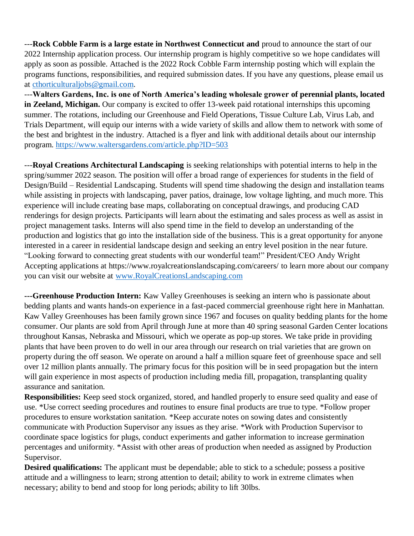---**Rock Cobble Farm is a large estate in Northwest Connecticut and** proud to announce the start of our 2022 Internship application process. Our internship program is highly competitive so we hope candidates will apply as soon as possible. Attached is the 2022 Rock Cobble Farm internship posting which will explain the programs functions, responsibilities, and required submission dates. If you have any questions, please email us at [cthorticulturaljobs@gmail.com.](mailto:cthorticulturaljobs@gmail.com)

---**Walters Gardens, Inc. is one of North America's leading wholesale grower of perennial plants, located in Zeeland, Michigan.** Our company is excited to offer 13-week paid rotational internships this upcoming summer. The rotations, including our Greenhouse and Field Operations, Tissue Culture Lab, Virus Lab, and Trials Department, will equip our interns with a wide variety of skills and allow them to network with some of the best and brightest in the industry. Attached is a flyer and link with additional details about our internship program.<https://www.waltersgardens.com/article.php?ID=503>

---**Royal Creations Architectural Landscaping** is seeking relationships with potential interns to help in the spring/summer 2022 season. The position will offer a broad range of experiences for students in the field of Design/Build – Residential Landscaping. Students will spend time shadowing the design and installation teams while assisting in projects with landscaping, paver patios, drainage, low voltage lighting, and much more. This experience will include creating base maps, collaborating on conceptual drawings, and producing CAD renderings for design projects. Participants will learn about the estimating and sales process as well as assist in project management tasks. Interns will also spend time in the field to develop an understanding of the production and logistics that go into the installation side of the business. This is a great opportunity for anyone interested in a career in residential landscape design and seeking an entry level position in the near future. "Looking forward to connecting great students with our wonderful team!" President/CEO Andy Wright Accepting applications at https://www.royalcreationslandscaping.com/careers/ to learn more about our company you can visit our website at [www.RoyalCreationsLandscaping.com](http://www.royalcreationslandscaping.com/)

**---Greenhouse Production Intern:** Kaw Valley Greenhouses is seeking an intern who is passionate about bedding plants and wants hands-on experience in a fast-paced commercial greenhouse right here in Manhattan. Kaw Valley Greenhouses has been family grown since 1967 and focuses on quality bedding plants for the home consumer. Our plants are sold from April through June at more than 40 spring seasonal Garden Center locations throughout Kansas, Nebraska and Missouri, which we operate as pop-up stores. We take pride in providing plants that have been proven to do well in our area through our research on trial varieties that are grown on property during the off season. We operate on around a half a million square feet of greenhouse space and sell over 12 million plants annually. The primary focus for this position will be in seed propagation but the intern will gain experience in most aspects of production including media fill, propagation, transplanting quality assurance and sanitation.

**Responsibilities:** Keep seed stock organized, stored, and handled properly to ensure seed quality and ease of use. \*Use correct seeding procedures and routines to ensure final products are true to type. \*Follow proper procedures to ensure workstation sanitation. \*Keep accurate notes on sowing dates and consistently communicate with Production Supervisor any issues as they arise. \*Work with Production Supervisor to coordinate space logistics for plugs, conduct experiments and gather information to increase germination percentages and uniformity. \*Assist with other areas of production when needed as assigned by Production Supervisor.

**Desired qualifications:** The applicant must be dependable; able to stick to a schedule; possess a positive attitude and a willingness to learn; strong attention to detail; ability to work in extreme climates when necessary; ability to bend and stoop for long periods; ability to lift 30lbs.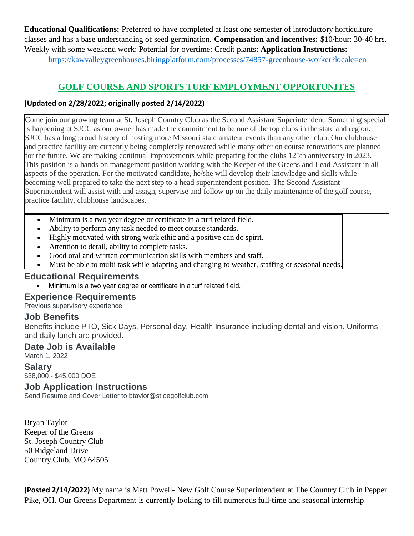**Educational Qualifications:** Preferred to have completed at least one semester of introductory horticulture classes and has a base understanding of seed germination. **Compensation and incentives:** \$10/hour: 30-40 hrs. Weekly with some weekend work: Potential for overtime: Credit plants: **Application Instructions:**  <https://kawvalleygreenhouses.hiringplatform.com/processes/74857-greenhouse-worker?locale=en>

# **GOLF COURSE AND SPORTS TURF EMPLOYMENT OPPORTUNITES**

#### **(Updated on 2/28/2022; originally posted 2/14/2022)**

Come join our growing team at St. Joseph Country Club as the Second Assistant Superintendent. Something special is happening at SJCC as our owner has made the commitment to be one of the top clubs in the state and region. SJCC has a long proud history of hosting more Missouri state amateur events than any other club. Our clubhouse and practice facility are currently being completely renovated while many other on course renovations are planned for the future. We are making continual improvements while preparing for the clubs 125th anniversary in 2023. This position is a hands on management position working with the Keeper of the Greens and Lead Assistant in all aspects of the operation. For the motivated candidate, he/she will develop their knowledge and skills while becoming well prepared to take the next step to a head superintendent position. The Second Assistant Superintendent will assist with and assign, supervise and follow up on the daily maintenance of the golf course, practice facility, clubhouse landscapes.

- Minimum is a two year degree or certificate in a turf related field.
- Ability to perform any task needed to meet course standards.
- Highly motivated with strong work ethic and a positive can do spirit.
- Attention to detail, ability to complete tasks.
- Good oral and written communication skills with members and staff.
- Must be able to multi task while adapting and changing to weather, staffing or seasonal needs.

#### **Educational Requirements**

• Minimum is a two year degree or certificate in a turf related field.

### **Experience Requirements**

Previous supervisory experience.

### **Job Benefits**

Benefits include PTO, Sick Days, Personal day, Health Insurance including dental and vision. Uniforms and daily lunch are provided.

#### **Date Job is Available**

March 1, 2022

#### **Salary**

\$38,000 - \$45,000 DOE

#### **Job Application Instructions**

Send Resume and Cover Letter to btaylor@stjoegolfclub.com

Bryan Taylor Keeper of the Greens St. Joseph Country Club 50 Ridgeland Drive Country Club, MO 64505

**(Posted 2/14/2022)** My name is Matt Powell- New Golf Course Superintendent at The Country Club in Pepper Pike, OH. Our Greens Department is currently looking to fill numerous full-time and seasonal internship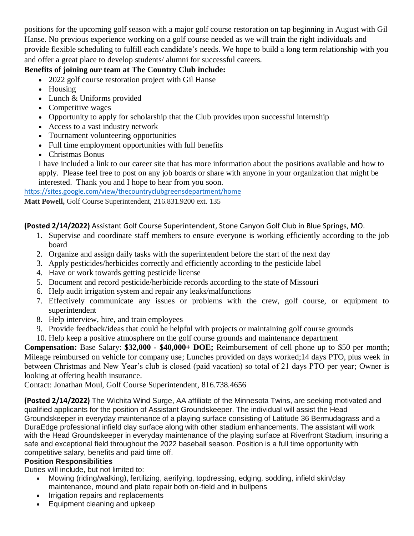positions for the upcoming golf season with a major golf course restoration on tap beginning in August with Gil Hanse. No previous experience working on a golf course needed as we will train the right individuals and provide flexible scheduling to fulfill each candidate's needs. We hope to build a long term relationship with you and offer a great place to develop students/ alumni for successful careers.

### **Benefits of joining our team at The Country Club include:**

- 2022 golf course restoration project with Gil Hanse
- Housing
- Lunch & Uniforms provided
- Competitive wages
- Opportunity to apply for scholarship that the Club provides upon successful internship
- Access to a vast industry network
- Tournament volunteering opportunities
- Full time employment opportunities with full benefits
- Christmas Bonus

I have included a link to our career site that has more information about the positions available and how to apply. Please feel free to post on any job boards or share with anyone in your organization that might be interested. Thank you and I hope to hear from you soon.

<https://sites.google.com/view/thecountryclubgreensdepartment/home>

**Matt Powell,** Golf Course Superintendent, 216.831.9200 ext. 135

**(Posted 2/14/2022)** Assistant Golf Course Superintendent, Stone Canyon Golf Club in Blue Springs, MO.

- 1. Supervise and coordinate staff members to ensure everyone is working efficiently according to the job board
- 2. Organize and assign daily tasks with the superintendent before the start of the next day
- 3. Apply pesticides/herbicides correctly and efficiently according to the pesticide label
- 4. Have or work towards getting pesticide license
- 5. Document and record pesticide/herbicide records according to the state of Missouri
- 6. Help audit irrigation system and repair any leaks/malfunctions
- 7. Effectively communicate any issues or problems with the crew, golf course, or equipment to superintendent
- 8. Help interview, hire, and train employees
- 9. Provide feedback/ideas that could be helpful with projects or maintaining golf course grounds
- 10. Help keep a positive atmosphere on the golf course grounds and maintenance department

**Compensation:** Base Salary: **\$32,000 - \$40,000+ DOE;** Reimbursement of cell phone up to \$50 per month; Mileage reimbursed on vehicle for company use; Lunches provided on days worked;14 days PTO, plus week in between Christmas and New Year's club is closed (paid vacation) so total of 21 days PTO per year; Owner is looking at offering health insurance.

Contact: Jonathan Moul, Golf Course Superintendent, 816.738.4656

**(Posted 2/14/2022)** The Wichita Wind Surge, AA affiliate of the Minnesota Twins, are seeking motivated and qualified applicants for the position of Assistant Groundskeeper. The individual will assist the Head Groundskeeper in everyday maintenance of a playing surface consisting of Latitude 36 Bermudagrass and a DuraEdge professional infield clay surface along with other stadium enhancements. The assistant will work with the Head Groundskeeper in everyday maintenance of the playing surface at Riverfront Stadium, insuring a safe and exceptional field throughout the 2022 baseball season. Position is a full time opportunity with competitive salary, benefits and paid time off.

### **Position Responsibilities**

Duties will include, but not limited to:

- Mowing (riding/walking), fertilizing, aerifying, topdressing, edging, sodding, infield skin/clay maintenance, mound and plate repair both on-field and in bullpens
- Irrigation repairs and replacements
- Equipment cleaning and upkeep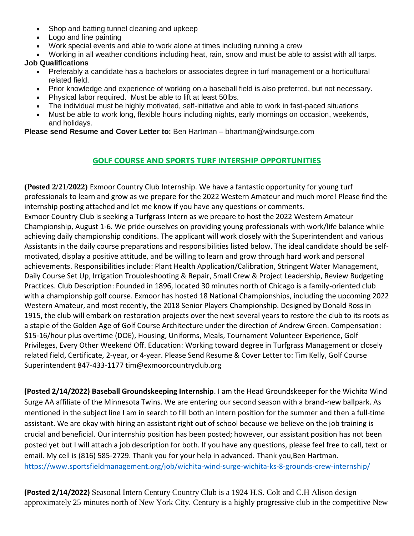- Shop and batting tunnel cleaning and upkeep
- Logo and line painting
- Work special events and able to work alone at times including running a crew
- Working in all weather conditions including heat, rain, snow and must be able to assist with all tarps.

#### **Job Qualifications**

- Preferably a candidate has a bachelors or associates degree in turf management or a horticultural related field.
- Prior knowledge and experience of working on a baseball field is also preferred, but not necessary.
- Physical labor required. Must be able to lift at least 50lbs.
- The individual must be highly motivated, self-initiative and able to work in fast-paced situations
- Must be able to work long, flexible hours including nights, early mornings on occasion, weekends, and holidays.

**Please send Resume and Cover Letter to:** Ben Hartman – bhartman@windsurge.com

# **GOLF COURSE AND SPORTS TURF INTERSHIP OPPORTUNITIES**

**(Posted 2/21/2022)** Exmoor Country Club Internship. We have a fantastic opportunity for young turf professionals to learn and grow as we prepare for the 2022 Western Amateur and much more! Please find the internship posting attached and let me know if you have any questions or comments.

Exmoor Country Club is seeking a Turfgrass Intern as we prepare to host the 2022 Western Amateur Championship, August 1-6. We pride ourselves on providing young professionals with work/life balance while achieving daily championship conditions. The applicant will work closely with the Superintendent and various Assistants in the daily course preparations and responsibilities listed below. The ideal candidate should be selfmotivated, display a positive attitude, and be willing to learn and grow through hard work and personal achievements. Responsibilities include: Plant Health Application/Calibration, Stringent Water Management, Daily Course Set Up, Irrigation Troubleshooting & Repair, Small Crew & Project Leadership, Review Budgeting Practices. Club Description: Founded in 1896, located 30 minutes north of Chicago is a family-oriented club with a championship golf course. Exmoor has hosted 18 National Championships, including the upcoming 2022 Western Amateur, and most recently, the 2018 Senior Players Championship. Designed by Donald Ross in 1915, the club will embark on restoration projects over the next several years to restore the club to its roots as a staple of the Golden Age of Golf Course Architecture under the direction of Andrew Green. Compensation: \$15-16/hour plus overtime (DOE), Housing, Uniforms, Meals, Tournament Volunteer Experience, Golf Privileges, Every Other Weekend Off. Education: Working toward degree in Turfgrass Management or closely related field, Certificate, 2-year, or 4-year. Please Send Resume & Cover Letter to: Tim Kelly, Golf Course Superintendent 847-433-1177 tim@exmoorcountryclub.org

**(Posted 2/14/2022) Baseball Groundskeeping Internship**. I am the Head Groundskeeper for the Wichita Wind Surge AA affiliate of the Minnesota Twins. We are entering our second season with a brand-new ballpark. As mentioned in the subject line I am in search to fill both an intern position for the summer and then a full-time assistant. We are okay with hiring an assistant right out of school because we believe on the job training is crucial and beneficial. Our internship position has been posted; however, our assistant position has not been posted yet but I will attach a job description for both. If you have any questions, please feel free to call, text or email. My cell is (816) 585-2729. Thank you for your help in advanced. Thank you,Ben Hartman. <https://www.sportsfieldmanagement.org/job/wichita-wind-surge-wichita-ks-8-grounds-crew-internship/>

**(Posted 2/14/2022)** Seasonal Intern Century Country Club is a 1924 H.S. Colt and C.H Alison design approximately 25 minutes north of New York City. Century is a highly progressive club in the competitive New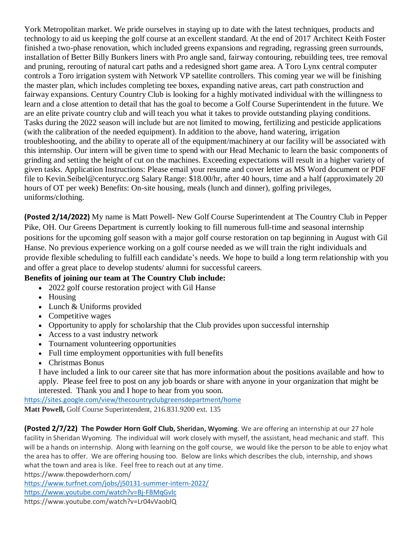York Metropolitan market. We pride ourselves in staying up to date with the latest techniques, products and technology to aid us keeping the golf course at an excellent standard. At the end of 2017 Architect Keith Foster finished a two-phase renovation, which included greens expansions and regrading, regrassing green surrounds, installation of Better Billy Bunkers liners with Pro angle sand, fairway contouring, rebuilding tees, tree removal and pruning, rerouting of natural cart paths and a redesigned short game area. A Toro Lynx central computer controls a Toro irrigation system with Network VP satellite controllers. This coming year we will be finishing the master plan, which includes completing tee boxes, expanding native areas, cart path construction and fairway expansions. Century Country Club is looking for a highly motivated individual with the willingness to learn and a close attention to detail that has the goal to become a Golf Course Superintendent in the future. We are an elite private country club and will teach you what it takes to provide outstanding playing conditions. Tasks during the 2022 season will include but are not limited to mowing, fertilizing and pesticide applications (with the calibration of the needed equipment). In addition to the above, hand watering, irrigation troubleshooting, and the ability to operate all of the equipment/machinery at our facility will be associated with this internship. Our intern will be given time to spend with our Head Mechanic to learn the basic components of grinding and setting the height of cut on the machines. Exceeding expectations will result in a higher variety of given tasks. Application Instructions: Please email your resume and cover letter as MS Word document or PDF file to Kevin.Seibel@centurycc.org Salary Range: \$18.00/hr, after 40 hours, time and a half (approximately 20 hours of OT per week) Benefits: On-site housing, meals (lunch and dinner), golfing privileges, uniforms/clothing.

**(Posted 2/14/2022)** My name is Matt Powell- New Golf Course Superintendent at The Country Club in Pepper Pike, OH. Our Greens Department is currently looking to fill numerous full-time and seasonal internship positions for the upcoming golf season with a major golf course restoration on tap beginning in August with Gil Hanse. No previous experience working on a golf course needed as we will train the right individuals and provide flexible scheduling to fulfill each candidate's needs. We hope to build a long term relationship with you and offer a great place to develop students/ alumni for successful careers.

#### **Benefits of joining our team at The Country Club include:**

- 2022 golf course restoration project with Gil Hanse
- Housing
- Lunch & Uniforms provided
- Competitive wages
- Opportunity to apply for scholarship that the Club provides upon successful internship
- Access to a vast industry network
- Tournament volunteering opportunities
- Full time employment opportunities with full benefits
- Christmas Bonus

I have included a link to our career site that has more information about the positions available and how to apply. Please feel free to post on any job boards or share with anyone in your organization that might be interested. Thank you and I hope to hear from you soon.

<https://sites.google.com/view/thecountryclubgreensdepartment/home> **Matt Powell,** Golf Course Superintendent, 216.831.9200 ext. 135

**(Posted 2/7/22) The Powder Horn Golf Club, Sheridan, Wyoming**. We are offering an internship at our 27 hole facility in Sheridan Wyoming. The individual will work closely with myself, the assistant, head mechanic and staff. This will be a hands on internship. Along with learning on the golf course, we would like the person to be able to enjoy what the area has to offer. We are offering housing too. Below are links which describes the club, internship, and shows what the town and area is like. Feel free to reach out at any time.

https://www.thepowderhorn.com/

<https://www.turfnet.com/jobs/j50131-summer-intern-2022/>

<https://www.youtube.com/watch?v=Bj-FBMqGvlc>

https://www.youtube.com/watch?v=Lr04vVaoblQ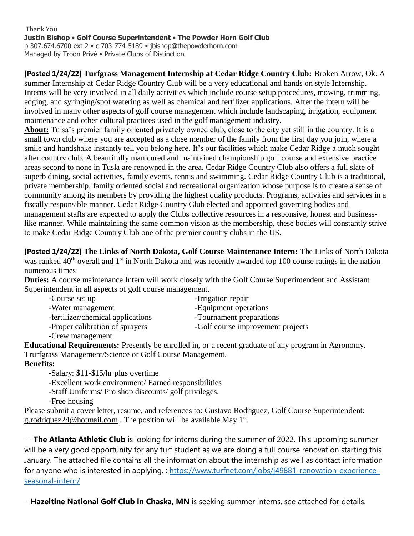Thank You **Justin Bishop** • **Golf Course Superintendent** • **The Powder Horn Golf Club** p 307.674.6700 ext 2 • c 703-774-5189 • jbishop@thepowderhorn.com Managed by Troon Privé • Private Clubs of Distinction

**(Posted 1/24/22) Turfgrass Management Internship at Cedar Ridge Country Club:** Broken Arrow, Ok. A summer Internship at Cedar Ridge Country Club will be a very educational and hands on style Internship. Interns will be very involved in all daily activities which include course setup procedures, mowing, trimming, edging, and syringing/spot watering as well as chemical and fertilizer applications. After the intern will be involved in many other aspects of golf course management which include landscaping, irrigation, equipment maintenance and other cultural practices used in the golf management industry.

**About:** Tulsa's premier family oriented privately owned club, close to the city yet still in the country. It is a small town club where you are accepted as a close member of the family from the first day you join, where a smile and handshake instantly tell you belong here. It's our facilities which make Cedar Ridge a much sought after country club. A beautifully manicured and maintained championship golf course and extensive practice areas second to none in Tusla are renowned in the area. Cedar Ridge Country Club also offers a full slate of superb dining, social activities, family events, tennis and swimming. Cedar Ridge Country Club is a traditional, private membership, family oriented social and recreational organization whose purpose is to create a sense of community among its members by providing the highest quality products. Programs, activities and services in a fiscally responsible manner. Cedar Ridge Country Club elected and appointed governing bodies and management staffs are expected to apply the Clubs collective resources in a responsive, honest and businesslike manner. While maintaining the same common vision as the membership, these bodies will constantly strive to make Cedar Ridge Country Club one of the premier country clubs in the US.

**(Posted 1/24/22) The Links of North Dakota, Golf Course Maintenance Intern:** The Links of North Dakota was ranked 40<sup>th</sup> overall and 1<sup>st</sup> in North Dakota and was recently awarded top 100 course ratings in the nation numerous times

**Duties:** A course maintenance Intern will work closely with the Golf Course Superintendent and Assistant Superintendent in all aspects of golf course management.

| -Course set up                    | -Irrigation repair                |
|-----------------------------------|-----------------------------------|
| -Water management                 | -Equipment operations             |
| -fertilizer/chemical applications | -Tournament preparations          |
| -Proper calibration of sprayers   | -Golf course improvement projects |
| -Crew management                  |                                   |

**Educational Requirements:** Presently be enrolled in, or a recent graduate of any program in Agronomy. Trurfgrass Management/Science or Golf Course Management.

#### **Benefits:**

-Salary: \$11-\$15/hr plus overtime

-Excellent work environment/ Earned responsibilities

-Staff Uniforms/ Pro shop discounts/ golf privileges.

-Free housing

Please submit a cover letter, resume, and references to: Gustavo Rodriguez, Golf Course Superintendent: [g.rodriquez24@hotmail.com](mailto:g.rodriquez24@hotmail.com). The position will be available May 1<sup>st</sup>.

---**The Atlanta Athletic Club** is looking for interns during the summer of 2022. This upcoming summer will be a very good opportunity for any turf student as we are doing a full course renovation starting this January. The attached file contains all the information about the internship as well as contact information for anyone who is interested in applying. : [https://www.turfnet.com/jobs/j49881-renovation-experience](https://www.turfnet.com/jobs/j49881-renovation-experience-seasonal-intern/)[seasonal-intern/](https://www.turfnet.com/jobs/j49881-renovation-experience-seasonal-intern/)

--**Hazeltine National Golf Club in Chaska, MN** is seeking summer interns, see attached for details.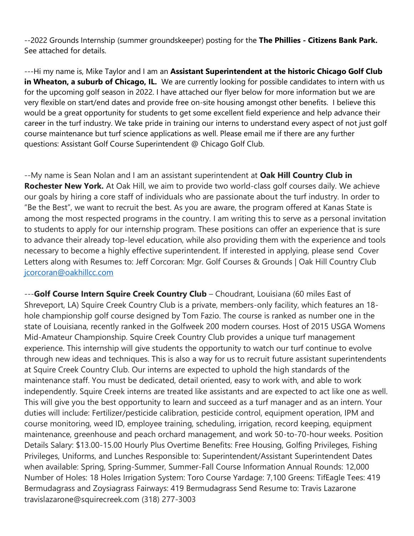--2022 Grounds Internship (summer groundskeeper) posting for the **The Phillies - Citizens Bank Park.**  See attached for details.

---Hi my name is, Mike Taylor and I am an **Assistant Superintendent at the historic Chicago Golf Club in Wheaton, a suburb of Chicago, IL.** We are currently looking for possible candidates to intern with us for the upcoming golf season in 2022. I have attached our flyer below for more information but we are very flexible on start/end dates and provide free on-site housing amongst other benefits. I believe this would be a great opportunity for students to get some excellent field experience and help advance their career in the turf industry. We take pride in training our interns to understand every aspect of not just golf course maintenance but turf science applications as well. Please email me if there are any further questions: Assistant Golf Course Superintendent @ Chicago Golf Club.

--My name is Sean Nolan and I am an assistant superintendent at **Oak Hill Country Club in Rochester New York.** At Oak Hill, we aim to provide two world-class golf courses daily. We achieve our goals by hiring a core staff of individuals who are passionate about the turf industry. In order to "Be the Best", we want to recruit the best. As you are aware, the program offered at Kanas State is among the most respected programs in the country. I am writing this to serve as a personal invitation to students to apply for our internship program. These positions can offer an experience that is sure to advance their already top-level education, while also providing them with the experience and tools necessary to become a highly effective superintendent. If interested in applying, please send Cover Letters along with Resumes to: Jeff Corcoran: Mgr. Golf Courses & Grounds | Oak Hill Country Club [jcorcoran@oakhillcc.com](mailto:jcorcoran@oakhillcc.com)

---**Golf Course Intern Squire Creek Country Club** – Choudrant, Louisiana (60 miles East of Shreveport, LA) Squire Creek Country Club is a private, members-only facility, which features an 18 hole championship golf course designed by Tom Fazio. The course is ranked as number one in the state of Louisiana, recently ranked in the Golfweek 200 modern courses. Host of 2015 USGA Womens Mid-Amateur Championship. Squire Creek Country Club provides a unique turf management experience. This internship will give students the opportunity to watch our turf continue to evolve through new ideas and techniques. This is also a way for us to recruit future assistant superintendents at Squire Creek Country Club. Our interns are expected to uphold the high standards of the maintenance staff. You must be dedicated, detail oriented, easy to work with, and able to work independently. Squire Creek interns are treated like assistants and are expected to act like one as well. This will give you the best opportunity to learn and succeed as a turf manager and as an intern. Your duties will include: Fertilizer/pesticide calibration, pesticide control, equipment operation, IPM and course monitoring, weed ID, employee training, scheduling, irrigation, record keeping, equipment maintenance, greenhouse and peach orchard management, and work 50-to-70-hour weeks. Position Details Salary: \$13.00-15.00 Hourly Plus Overtime Benefits: Free Housing, Golfing Privileges, Fishing Privileges, Uniforms, and Lunches Responsible to: Superintendent/Assistant Superintendent Dates when available: Spring, Spring-Summer, Summer-Fall Course Information Annual Rounds: 12,000 Number of Holes: 18 Holes Irrigation System: Toro Course Yardage: 7,100 Greens: TifEagle Tees: 419 Bermudagrass and Zoysiagrass Fairways: 419 Bermudagrass Send Resume to: Travis Lazarone travislazarone@squirecreek.com (318) 277-3003